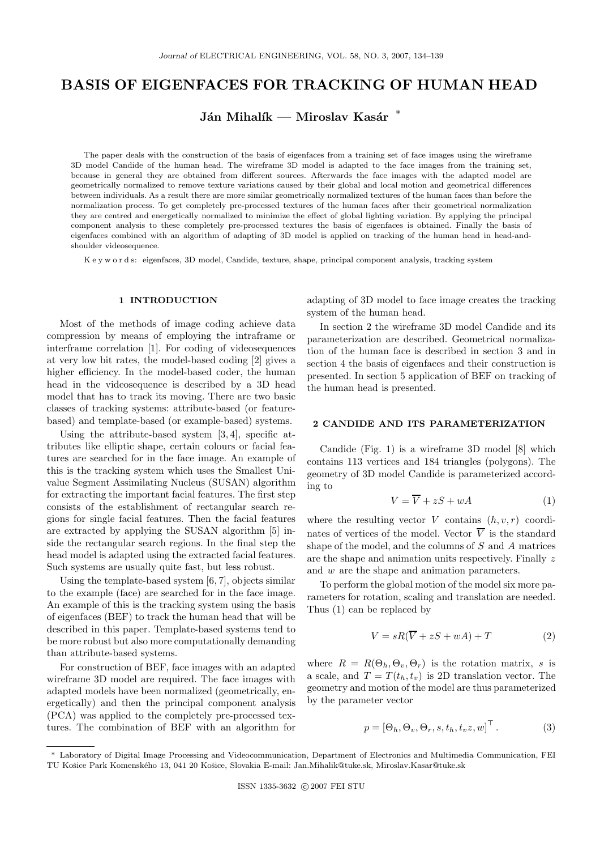# BASIS OF EIGENFACES FOR TRACKING OF HUMAN HEAD

Ján Mihalík — Miroslav Kasár $\;\;$ \*

The paper deals with the construction of the basis of eigenfaces from a training set of face images using the wireframe 3D model Candide of the human head. The wireframe 3D model is adapted to the face images from the training set, because in general they are obtained from different sources. Afterwards the face images with the adapted model are geometrically normalized to remove texture variations caused by their global and local motion and geometrical differences between individuals. As a result there are more similar geometrically normalized textures of the human faces than before the normalization process. To get completely pre-processed textures of the human faces after their geometrical normalization they are centred and energetically normalized to minimize the effect of global lighting variation. By applying the principal component analysis to these completely pre-processed textures the basis of eigenfaces is obtained. Finally the basis of eigenfaces combined with an algorithm of adapting of 3D model is applied on tracking of the human head in head-andshoulder videosequence.

K e y w o r d s: eigenfaces, 3D model, Candide, texture, shape, principal component analysis, tracking system

## 1 INTRODUCTION

Most of the methods of image coding achieve data compression by means of employing the intraframe or interframe correlation [1]. For coding of videosequences at very low bit rates, the model-based coding [2] gives a higher efficiency. In the model-based coder, the human head in the videosequence is described by a 3D head model that has to track its moving. There are two basic classes of tracking systems: attribute-based (or featurebased) and template-based (or example-based) systems.

Using the attribute-based system  $[3, 4]$ , specific attributes like elliptic shape, certain colours or facial features are searched for in the face image. An example of this is the tracking system which uses the Smallest Univalue Segment Assimilating Nucleus (SUSAN) algorithm for extracting the important facial features. The first step consists of the establishment of rectangular search regions for single facial features. Then the facial features are extracted by applying the SUSAN algorithm [5] inside the rectangular search regions. In the final step the head model is adapted using the extracted facial features. Such systems are usually quite fast, but less robust.

Using the template-based system [6, 7], objects similar to the example (face) are searched for in the face image. An example of this is the tracking system using the basis of eigenfaces (BEF) to track the human head that will be described in this paper. Template-based systems tend to be more robust but also more computationally demanding than attribute-based systems.

For construction of BEF, face images with an adapted wireframe 3D model are required. The face images with adapted models have been normalized (geometrically, energetically) and then the principal component analysis (PCA) was applied to the completely pre-processed textures. The combination of BEF with an algorithm for adapting of 3D model to face image creates the tracking system of the human head.

In section 2 the wireframe 3D model Candide and its parameterization are described. Geometrical normalization of the human face is described in section 3 and in section 4 the basis of eigenfaces and their construction is presented. In section 5 application of BEF on tracking of the human head is presented.

# 2 CANDIDE AND ITS PARAMETERIZATION

Candide (Fig. 1) is a wireframe 3D model [8] which contains 113 vertices and 184 triangles (polygons). The geometry of 3D model Candide is parameterized according to

$$
V = \overline{V} + zS + wA \tag{1}
$$

where the resulting vector V contains  $(h, v, r)$  coordinates of vertices of the model. Vector  $\overline{V}$  is the standard shape of the model, and the columns of  $S$  and  $A$  matrices are the shape and animation units respectively. Finally z and w are the shape and animation parameters.

To perform the global motion of the model six more parameters for rotation, scaling and translation are needed. Thus (1) can be replaced by

$$
V = sR(\overline{V} + zS + wA) + T \tag{2}
$$

where  $R = R(\Theta_h, \Theta_v, \Theta_r)$  is the rotation matrix, s is a scale, and  $T = T(t_h, t_v)$  is 2D translation vector. The geometry and motion of the model are thus parameterized by the parameter vector

$$
p = [\Theta_h, \Theta_v, \Theta_r, s, t_h, t_v z, w]^\top.
$$
 (3)

<sup>∗</sup> Laboratory of Digital Image Processing and Videocommunication, Department of Electronics and Multimedia Communication, FEI TU Košice Park Komenského 13, 041 20 Košice, Slovakia E-mail: Jan.Mihalik@tuke.sk, Miroslav.Kasar@tuke.sk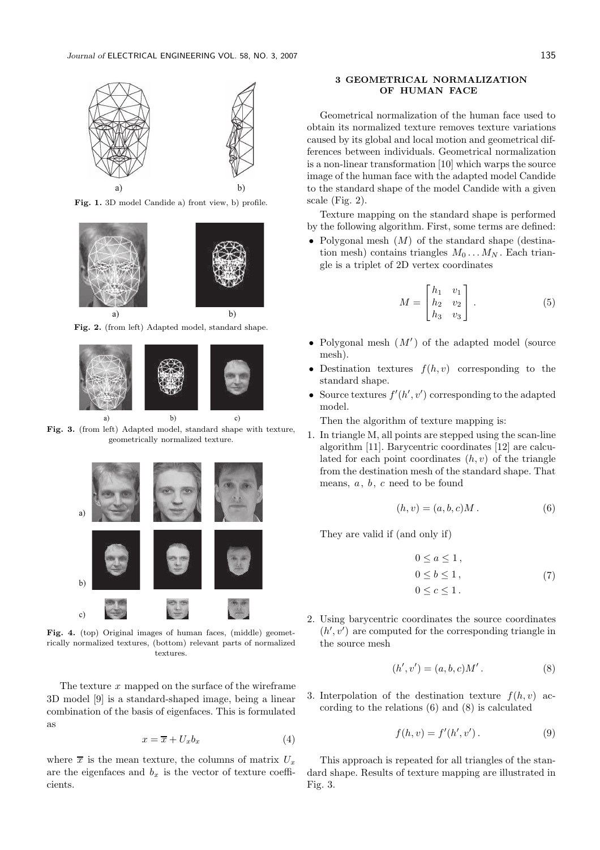

Fig. 1. 3D model Candide a) front view, b) profile.



Fig. 2. (from left) Adapted model, standard shape.



Fig. 3. (from left) Adapted model, standard shape with texture, geometrically normalized texture.



Fig. 4. (top) Original images of human faces, (middle) geometrically normalized textures, (bottom) relevant parts of normalized textures.

The texture  $x$  mapped on the surface of the wireframe 3D model [9] is a standard-shaped image, being a linear combination of the basis of eigenfaces. This is formulated as

$$
x = \overline{x} + U_x b_x \tag{4}
$$

where  $\bar{x}$  is the mean texture, the columns of matrix  $U_x$ are the eigenfaces and  $b_x$  is the vector of texture coefficients.

# 3 GEOMETRICAL NORMALIZATION OF HUMAN FACE

Geometrical normalization of the human face used to obtain its normalized texture removes texture variations caused by its global and local motion and geometrical differences between individuals. Geometrical normalization is a non-linear transformation [10] which warps the source image of the human face with the adapted model Candide to the standard shape of the model Candide with a given scale (Fig. 2).

Texture mapping on the standard shape is performed by the following algorithm. First, some terms are defined:

• Polygonal mesh  $(M)$  of the standard shape (destination mesh) contains triangles  $M_0 \dots M_N$ . Each triangle is a triplet of 2D vertex coordinates

$$
M = \begin{bmatrix} h_1 & v_1 \\ h_2 & v_2 \\ h_3 & v_3 \end{bmatrix} . \tag{5}
$$

- $\bullet\,$  Polygonal mesh  $(M')$  of the adapted model (source mesh).
- Destination textures  $f(h, v)$  corresponding to the standard shape.
- Source textures  $f'(h', v')$  corresponding to the adapted model.

Then the algorithm of texture mapping is:

1. In triangle M, all points are stepped using the scan-line algorithm [11]. Barycentric coordinates [12] are calculated for each point coordinates  $(h, v)$  of the triangle from the destination mesh of the standard shape. That means,  $a, b, c$  need to be found

$$
(h, v) = (a, b, c)M.
$$
 (6)

They are valid if (and only if)

$$
0 \le a \le 1,
$$
  
\n
$$
0 \le b \le 1,
$$
  
\n
$$
0 \le c \le 1.
$$
\n(7)

2. Using barycentric coordinates the source coordinates  $(h', v')$  are computed for the corresponding triangle in the source mesh

$$
(h', v') = (a, b, c)M'.
$$
 (8)

3. Interpolation of the destination texture  $f(h, v)$  according to the relations (6) and (8) is calculated

$$
f(h, v) = f'(h', v').
$$
 (9)

This approach is repeated for all triangles of the standard shape. Results of texture mapping are illustrated in Fig. 3.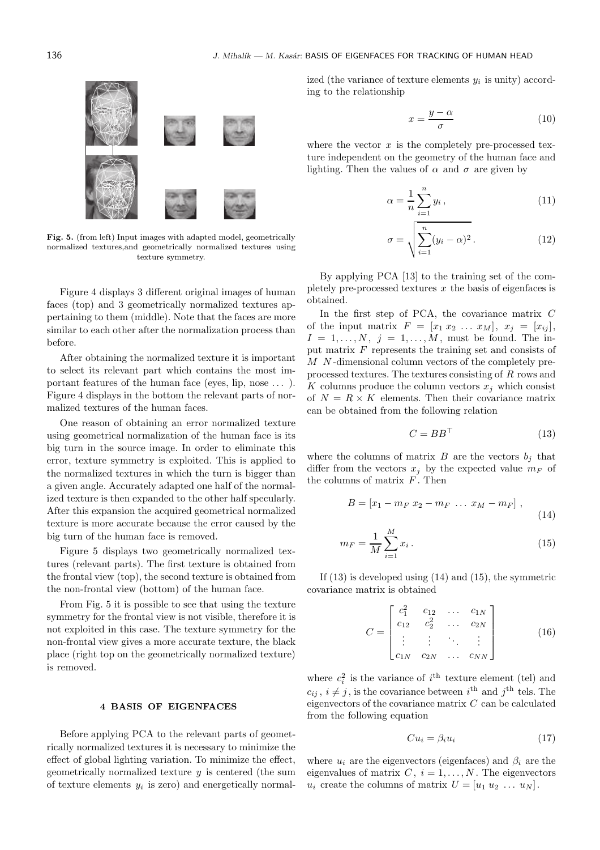### 136 100 J. Mihalík — M. Kasár: BASIS OF EIGENFACES FOR TRACKING OF HUMAN HEAD



Fig. 5. (from left) Input images with adapted model, geometrically normalized textures,and geometrically normalized textures using texture symmetry.

Figure 4 displays 3 different original images of human faces (top) and 3 geometrically normalized textures appertaining to them (middle). Note that the faces are more similar to each other after the normalization process than before.

After obtaining the normalized texture it is important to select its relevant part which contains the most important features of the human face (eyes, lip, nose . . . ). Figure 4 displays in the bottom the relevant parts of normalized textures of the human faces.

One reason of obtaining an error normalized texture using geometrical normalization of the human face is its big turn in the source image. In order to eliminate this error, texture symmetry is exploited. This is applied to the normalized textures in which the turn is bigger than a given angle. Accurately adapted one half of the normalized texture is then expanded to the other half specularly. After this expansion the acquired geometrical normalized texture is more accurate because the error caused by the big turn of the human face is removed.

Figure 5 displays two geometrically normalized textures (relevant parts). The first texture is obtained from the frontal view (top), the second texture is obtained from the non-frontal view (bottom) of the human face.

From Fig. 5 it is possible to see that using the texture symmetry for the frontal view is not visible, therefore it is not exploited in this case. The texture symmetry for the non-frontal view gives a more accurate texture, the black place (right top on the geometrically normalized texture) is removed.

# 4 BASIS OF EIGENFACES

Before applying PCA to the relevant parts of geometrically normalized textures it is necessary to minimize the effect of global lighting variation. To minimize the effect, geometrically normalized texture  $y$  is centered (the sum of texture elements  $y_i$  is zero) and energetically normal-

ized (the variance of texture elements  $y_i$  is unity) according to the relationship

$$
x = \frac{y - \alpha}{\sigma} \tag{10}
$$

where the vector  $x$  is the completely pre-processed texture independent on the geometry of the human face and lighting. Then the values of  $\alpha$  and  $\sigma$  are given by

$$
\alpha = \frac{1}{n} \sum_{i=1}^{n} y_i , \qquad (11)
$$

$$
\sigma = \sqrt{\sum_{i=1}^{n} (y_i - \alpha)^2}.
$$
 (12)

By applying PCA [13] to the training set of the completely pre-processed textures  $x$  the basis of eigenfaces is obtained.

In the first step of PCA, the covariance matrix  $C$ of the input matrix  $F = [x_1 x_2 \dots x_M], x_j = [x_{ij}],$  $I = 1, \ldots, N, j = 1, \ldots, M$ , must be found. The input matrix  $F$  represents the training set and consists of M N-dimensional column vectors of the completely preprocessed textures. The textures consisting of R rows and K columns produce the column vectors  $x_j$  which consist of  $N = R \times K$  elements. Then their covariance matrix can be obtained from the following relation

$$
C = BB^{\top} \tag{13}
$$

where the columns of matrix  $B$  are the vectors  $b_i$  that differ from the vectors  $x_i$  by the expected value  $m_F$  of the columns of matrix  $\overrightarrow{F}$ . Then

$$
B = [x_1 - m_F x_2 - m_F \dots x_M - m_F],
$$
\n(14)

$$
m_F = \frac{1}{M} \sum_{i=1}^{M} x_i.
$$
 (15)

If  $(13)$  is developed using  $(14)$  and  $(15)$ , the symmetric covariance matrix is obtained

$$
C = \begin{bmatrix} c_1^2 & c_{12} & \dots & c_{1N} \\ c_{12} & c_2^2 & \dots & c_{2N} \\ \vdots & \vdots & \ddots & \vdots \\ c_{1N} & c_{2N} & \dots & c_{NN} \end{bmatrix}
$$
 (16)

where  $c_i^2$  is the variance of  $i^{\text{th}}$  texture element (tel) and  $c_{ij}$ ,  $i \neq j$ , is the covariance between  $i^{\text{th}}$  and  $j^{\text{th}}$  tels. The eigenvectors of the covariance matrix  $C$  can be calculated from the following equation

$$
Cu_i = \beta_i u_i \tag{17}
$$

where  $u_i$  are the eigenvectors (eigenfaces) and  $\beta_i$  are the eigenvalues of matrix  $C, i = 1, \ldots, N$ . The eigenvectors  $u_i$  create the columns of matrix  $U = [u_1 \ u_2 \ ... \ u_N].$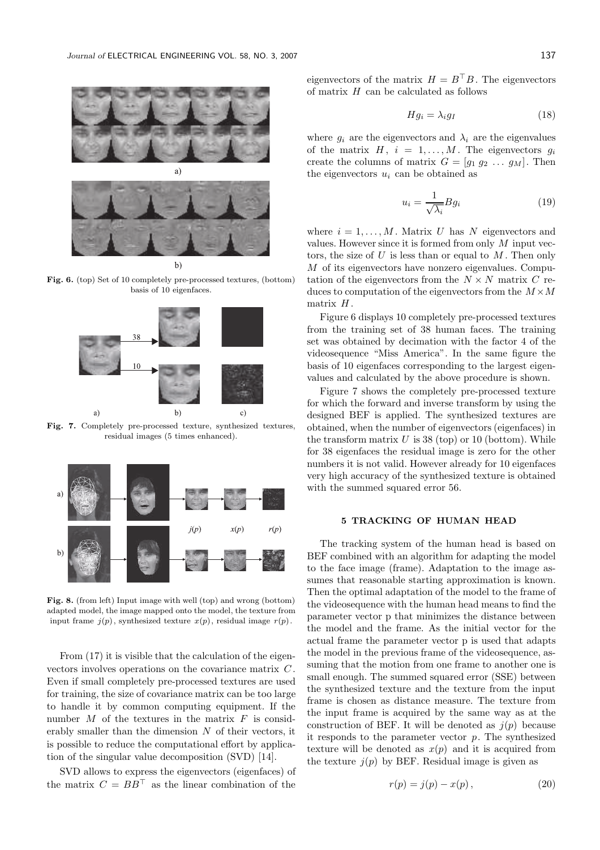



 $b)$ 

Fig. 6. (top) Set of 10 completely pre-processed textures, (bottom) basis of 10 eigenfaces.



Fig. 7. Completely pre-processed texture, synthesized textures, residual images (5 times enhanced).



Fig. 8. (from left) Input image with well (top) and wrong (bottom) adapted model, the image mapped onto the model, the texture from input frame  $j(p)$ , synthesized texture  $x(p)$ , residual image  $r(p)$ .

From  $(17)$  it is visible that the calculation of the eigenvectors involves operations on the covariance matrix C . Even if small completely pre-processed textures are used for training, the size of covariance matrix can be too large to handle it by common computing equipment. If the number  $M$  of the textures in the matrix  $F$  is considerably smaller than the dimension  $N$  of their vectors, it is possible to reduce the computational effort by application of the singular value decomposition (SVD) [14].

SVD allows to express the eigenvectors (eigenfaces) of the matrix  $C = BB^{\top}$  as the linear combination of the eigenvectors of the matrix  $H = B^{\top}B$ . The eigenvectors of matrix  $H$  can be calculated as follows

$$
Hg_i = \lambda_i g_I \tag{18}
$$

where  $g_i$  are the eigenvectors and  $\lambda_i$  are the eigenvalues of the matrix  $H, i = 1, ..., M$ . The eigenvectors  $q_i$ create the columns of matrix  $G = [g_1 \ g_2 \ \dots \ g_M]$ . Then the eigenvectors  $u_i$  can be obtained as

$$
u_i = \frac{1}{\sqrt{\lambda_i}} B g_i \tag{19}
$$

where  $i = 1, \ldots, M$ . Matrix U has N eigenvectors and values. However since it is formed from only M input vectors, the size of  $U$  is less than or equal to  $M$ . Then only M of its eigenvectors have nonzero eigenvalues. Computation of the eigenvectors from the  $N \times N$  matrix C reduces to computation of the eigenvectors from the  $M \times M$ matrix  $H$ .

Figure 6 displays 10 completely pre-processed textures from the training set of 38 human faces. The training set was obtained by decimation with the factor 4 of the videosequence "Miss America". In the same figure the basis of 10 eigenfaces corresponding to the largest eigenvalues and calculated by the above procedure is shown.

Figure 7 shows the completely pre-processed texture for which the forward and inverse transform by using the designed BEF is applied. The synthesized textures are obtained, when the number of eigenvectors (eigenfaces) in the transform matrix  $U$  is 38 (top) or 10 (bottom). While for 38 eigenfaces the residual image is zero for the other numbers it is not valid. However already for 10 eigenfaces very high accuracy of the synthesized texture is obtained with the summed squared error 56.

## 5 TRACKING OF HUMAN HEAD

The tracking system of the human head is based on BEF combined with an algorithm for adapting the model to the face image (frame). Adaptation to the image assumes that reasonable starting approximation is known. Then the optimal adaptation of the model to the frame of the videosequence with the human head means to find the parameter vector p that minimizes the distance between the model and the frame. As the initial vector for the actual frame the parameter vector p is used that adapts the model in the previous frame of the videosequence, assuming that the motion from one frame to another one is small enough. The summed squared error (SSE) between the synthesized texture and the texture from the input frame is chosen as distance measure. The texture from the input frame is acquired by the same way as at the construction of BEF. It will be denoted as  $i(p)$  because it responds to the parameter vector  $p$ . The synthesized texture will be denoted as  $x(p)$  and it is acquired from the texture  $j(p)$  by BEF. Residual image is given as

$$
r(p) = j(p) - x(p),
$$
 (20)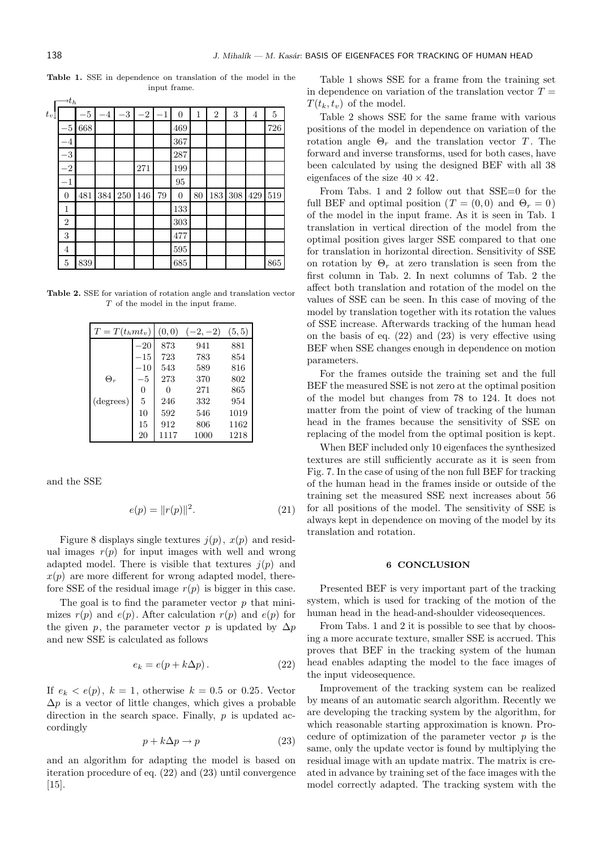|       | $\rightarrow t_h$ |     |      |         |      |         |                |    |                |     |     |     |
|-------|-------------------|-----|------|---------|------|---------|----------------|----|----------------|-----|-----|-----|
| $t_v$ |                   | -5  | $-4$ | $^{-3}$ | $-2$ | $^{-1}$ | $\overline{0}$ | 1  | $\overline{2}$ | 3   | 4   | 5   |
|       | $-5$              | 668 |      |         |      |         | 469            |    |                |     |     | 726 |
|       | $^{-4}$           |     |      |         |      |         | 367            |    |                |     |     |     |
|       | $^{-3}$           |     |      |         |      |         | 287            |    |                |     |     |     |
|       | $^{-2}$           |     |      |         | 271  |         | 199            |    |                |     |     |     |
|       | $^{-1}$           |     |      |         |      |         | 95             |    |                |     |     |     |
|       | $\theta$          | 481 | 384  | 250     | 146  | 79      | $\overline{0}$ | 80 | 183            | 308 | 429 | 519 |
|       | 1                 |     |      |         |      |         | 133            |    |                |     |     |     |
|       | $\overline{2}$    |     |      |         |      |         | 303            |    |                |     |     |     |
|       | 3                 |     |      |         |      |         | 477            |    |                |     |     |     |
|       | 4                 |     |      |         |      |         | 595            |    |                |     |     |     |
|       | 5                 | 839 |      |         |      |         | 685            |    |                |     |     | 865 |

Table 1. SSE in dependence on translation of the model in the input frame.

Table 2. SSE for variation of rotation angle and translation vector T of the model in the input frame.

| $T = T(t_h m t_v)$ |              | (0, 0) | $(-2,-2)$ | (5, 5) |
|--------------------|--------------|--------|-----------|--------|
|                    | $-20$        | 873    | 941       | 881    |
|                    | $-15$        | 723    | 783       | 854    |
|                    | $^{\rm -10}$ | 543    | 589       | 816    |
| $\Theta_r$         | $-5\,$       | 273    | 370       | 802    |
|                    | 0            | 0      | 271       | 865    |
| (degrees)          | 5            | 246    | 332       | 954    |
|                    | 10           | 592    | 546       | 1019   |
|                    | 15           | 912    | 806       | 1162   |
|                    | 20           | 1117   | 1000      | 1218   |

and the SSE

$$
e(p) = ||r(p)||^2.
$$
 (21)

Figure 8 displays single textures  $j(p)$ ,  $x(p)$  and residual images  $r(p)$  for input images with well and wrong adapted model. There is visible that textures  $j(p)$  and  $x(p)$  are more different for wrong adapted model, therefore SSE of the residual image  $r(p)$  is bigger in this case.

The goal is to find the parameter vector  $p$  that minimizes  $r(p)$  and  $e(p)$ . After calculation  $r(p)$  and  $e(p)$  for the given p, the parameter vector p is updated by  $\Delta p$ and new SSE is calculated as follows

$$
e_k = e(p + k\Delta p). \tag{22}
$$

If  $e_k < e(p)$ ,  $k = 1$ , otherwise  $k = 0.5$  or 0.25. Vector  $\Delta p$  is a vector of little changes, which gives a probable direction in the search space. Finally,  $p$  is updated accordingly

$$
p + k\Delta p \to p \tag{23}
$$

and an algorithm for adapting the model is based on iteration procedure of eq. (22) and (23) until convergence [15].

Table 1 shows SSE for a frame from the training set in dependence on variation of the translation vector  $T =$  $T(t_k, t_v)$  of the model.

Table 2 shows SSE for the same frame with various positions of the model in dependence on variation of the rotation angle  $\Theta_r$  and the translation vector T. The forward and inverse transforms, used for both cases, have been calculated by using the designed BEF with all 38 eigenfaces of the size  $40 \times 42$ .

From Tabs. 1 and 2 follow out that SSE=0 for the full BEF and optimal position ( $T = (0,0)$  and  $\Theta_r = 0$ ) of the model in the input frame. As it is seen in Tab. 1 translation in vertical direction of the model from the optimal position gives larger SSE compared to that one for translation in horizontal direction. Sensitivity of SSE on rotation by  $\Theta_r$  at zero translation is seen from the first column in Tab. 2. In next columns of Tab. 2 the affect both translation and rotation of the model on the values of SSE can be seen. In this case of moving of the model by translation together with its rotation the values of SSE increase. Afterwards tracking of the human head on the basis of eq. (22) and (23) is very effective using BEF when SSE changes enough in dependence on motion parameters.

For the frames outside the training set and the full BEF the measured SSE is not zero at the optimal position of the model but changes from 78 to 124. It does not matter from the point of view of tracking of the human head in the frames because the sensitivity of SSE on replacing of the model from the optimal position is kept.

When BEF included only 10 eigenfaces the synthesized textures are still sufficiently accurate as it is seen from Fig. 7. In the case of using of the non full BEF for tracking of the human head in the frames inside or outside of the training set the measured SSE next increases about 56 for all positions of the model. The sensitivity of SSE is always kept in dependence on moving of the model by its translation and rotation.

#### 6 CONCLUSION

Presented BEF is very important part of the tracking system, which is used for tracking of the motion of the human head in the head-and-shoulder videosequences.

From Tabs. 1 and 2 it is possible to see that by choosing a more accurate texture, smaller SSE is accrued. This proves that BEF in the tracking system of the human head enables adapting the model to the face images of the input videosequence.

Improvement of the tracking system can be realized by means of an automatic search algorithm. Recently we are developing the tracking system by the algorithm, for which reasonable starting approximation is known. Procedure of optimization of the parameter vector  $p$  is the same, only the update vector is found by multiplying the residual image with an update matrix. The matrix is created in advance by training set of the face images with the model correctly adapted. The tracking system with the